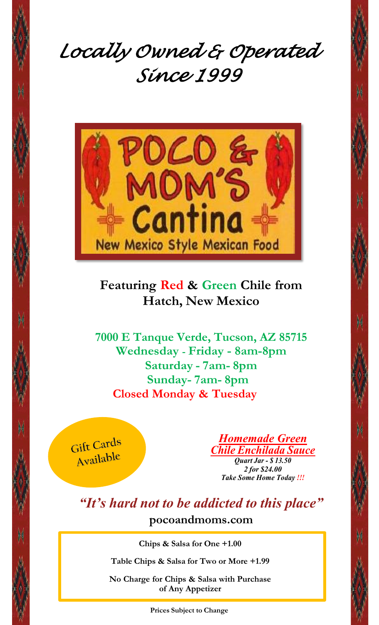



## **Featuring Red & Green Chile from Hatch, New Mexico**

**7000 E Tanque Verde, Tucson, AZ 85715 Wednesday - Friday - 8am-8pm Saturday - 7am- 8pm Sunday- 7am- 8pm Closed Monday & Tuesday**



*Homemade Green Chile Enchilada Sauce Quart Jar - \$ 13.50 2 for \$24.00 Take Some Home Today !!!*

*"It's hard not to be addicted to this place"* **[pocoandmoms.com](http://www.pocoandmoms.com/)**

**Chips & Salsa for One +1.00**

**Table Chips & Salsa for Two or More +1.99**

**No Charge for Chips & Salsa with Purchase of Any Appetizer**

**Prices Subject to Change**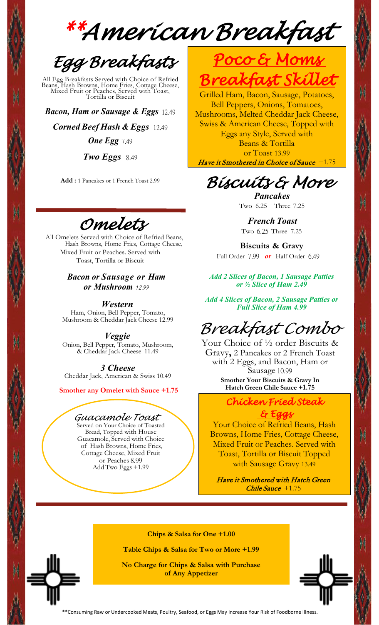*\*\*American Breakfast* 



All Egg Breakfasts Served with Choice of Refried Beans, Hash Browns, Home Fries, Cottage Cheese, Mixed Fruit or Peaches, Served with Toast, Tortilla or Biscuit

*Bacon, Ham or Sausage & Eggs* 12.49

*Corned Beef Hash & Eggs* 12.49 *One Egg* 7.49

*Two Eggs* 8.49

**Add :** 1 Pancakes or 1 French Toast 2.99

*Omelets* 

All Omelets Served with Choice of Refried Beans, Hash Browns, Home Fries, Cottage Cheese, Mixed Fruit or Peaches. Served with Toast, Tortilla or Biscuit

> *Bacon or Sausage or Ham or Mushroom 12.99*

*Western* Ham, Onion, Bell Pepper, Tomato, Mushroom & Cheddar Jack Cheese 12.99

*Veggie* Onion, Bell Pepper, Tomato, Mushroom, & Cheddar Jack Cheese 11.49

*3 Cheese*  Cheddar Jack, American & Swiss 10.49

 **Smother any Omelet with Sauce +1.75**

#### *Guacamole Toast*

Served on Your Choice of Toasted Bread, Topped with House Guacamole, Served with Choice of Hash Browns, Home Fries, Cottage Cheese, Mixed Fruit or Peaches 8.99 Add Two Eggs +1.99



Grilled Ham, Bacon, Sausage, Potatoes, Bell Peppers, Onions, Tomatoes, Mushrooms, Melted Cheddar Jack Cheese, Swiss & American Cheese, Topped with Eggs any Style, Served with Beans & Tortilla or Toast 13.99 Have it Smothered in Choice of Sauce +1.75

## *Biscuits & More*

*Pancakes*  Two 6.25 Three 7.25

*French Toast* Two 6.25 Three 7.25

**Biscuits & Gravy**  Full Order 7.99 *or* Half Order 6.49

*Add 2 Slices of Bacon, 1 Sausage Patties or ½ Slice of Ham 2.49*

*Add 4 Slices of Bacon, 2 Sausage Patties or Full Slice of Ham 4.99*

## *Breakfast Combo*

Your Choice of  $\frac{1}{2}$  order Biscuits & Gravy**,** 2 Pancakes or 2 French Toast with 2 Eggs, and Bacon, Ham or Sausage 10.99 **Smother Your Biscuits & Gravy In Hatch Green Chile Sauce +1.75**

### *Chicken Fried Steak & Eggs*

Your Choice of Refried Beans, Hash Browns, Home Fries, Cottage Cheese, Mixed Fruit or Peaches. Served with Toast, Tortilla or Biscuit Topped with Sausage Gravy 13.49

Have it Smothered with Hatch Green Chile Sauce +1.75

**Chips & Salsa for One +1.00**

**Table Chips & Salsa for Two or More +1.99**

**No Charge for Chips & Salsa with Purchase of Any Appetizer**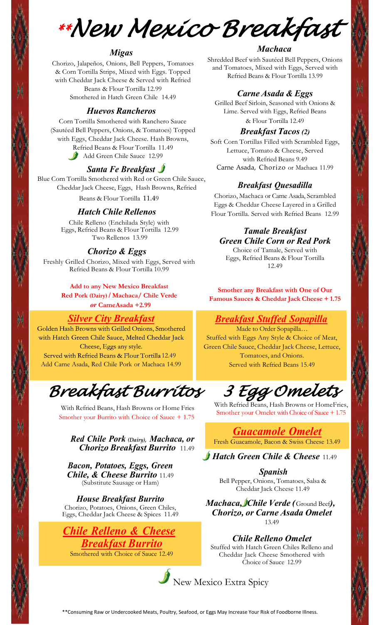*\*\*New Mexico Breakfast* 

#### *Migas*

Chorizo, Jalapeños, Onions, Bell Peppers, Tomatoes & Corn Tortilla Strips, Mixed with Eggs. Topped with Cheddar Jack Cheese & Served with Refried Beans & Flour Tortilla 12.99 Smothered in Hatch Green Chile 14.49

*Huevos Rancheros*

Corn Tortilla Smothered with Ranchero Sauce (Sautéed Bell Peppers, Onions, & Tomatoes) Topped with Eggs, Cheddar Jack Cheese. Hash Browns, Refried Beans & Flour Tortilla 11.49 Add Green Chile Sauce 12.99

#### *Santa Fe Breakfast*

Blue Corn Tortilla Smothered with Red or Green Chile Sauce, Cheddar Jack Cheese, Eggs, Hash Browns, Refried Beans & Flour Tortilla 11.49

#### *Hatch Chile Rellenos*

Chile Relleno (Enchilada Style) with Eggs, Refried Beans & Flour Tortilla 12.99 Two Rellenos 13.99

#### *Chorizo & Eggs*

Freshly Grilled Chorizo, Mixed with Eggs, Served with Refried Beans & Flour Tortilla 10.99

> **Add to any New Mexico Breakfast Red Pork (Dairy) / Machaca/ Chile Verde**

> > *or* **CarneAsada +2.99**

*Silver City Breakfast* with Hatch Green Chile Sauce, Melted Cheddar Jack Cheese, Eggs any style. Served with Refried Beans & Flour Tortilla 12.49 Add Carne Asada, Red Chile Pork or Machaca 14.99

*Breakfast Burritos* 

With Refried Beans, Hash Browns or Home Fries Smother your Burrito with Choice of Sauce + 1.75

*Red Chile Pork (Dairy), Machaca, or Chorizo Breakfast Burrito* 11.49

*Bacon, Potatoes, Eggs, Green Chile, & Cheese Burrito* 11.49 (Substitute Sausage or Ham)

*House Breakfast Burrito* Chorizo, Potatoes, Onions, Green Chiles, Eggs, Cheddar Jack Cheese & Spices 11.49



#### *Machaca*

Shredded Beef with Sautéed Bell Peppers, Onions and Tomatoes, Mixed with Eggs, Served with Refried Beans & Flour Tortilla 13.99

#### *Carne Asada & Eggs*

Grilled Beef Sirloin, Seasoned with Onions & Lime. Served with Eggs, Refried Beans & Flour Tortilla 12.49

#### *Breakfast Tacos (2)*

Soft Corn Tortillas Filled with Scrambled Eggs, Lettuce, Tomato & Cheese, Served with Refried Beans 9.49 Carne Asada, Chorizo or Machaca 11.99

#### *Breakfast Quesadilla*

Chorizo, Machaca or Carne Asada, Scrambled Eggs & Cheddar Cheese Layered in a Grilled Flour Tortilla. Served with Refried Beans 12.99

### *Tamale Breakfast Green Chile Corn or Red Pork*

Choice of Tamale, Served with Eggs, Refried Beans & Flour Tortilla 12.49

**Smother any Breakfast with One of Our Famous Sauces & Cheddar Jack Cheese + 1.75**

#### *Breakfast Stuffed Sopapilla*

Made to Order Sopapilla... Stuffed with Eggs Any Style & Choice of Meat, Green Chile Sauce, Cheddar Jack Cheese, Lettuce, Tomatoes, and Onions. Served with Refried Beans 15.49

# *3 Egg Omelets*

With Refried Beans, Hash Browns or HomeFries, Smother your Omelet with Choice of Sauce + 1.75

*Guacamole Omelet* Fresh Guacamole, Bacon & Swiss Cheese 13.49

#### *Hatch Green Chile & Cheese* 11.49

*Spanish* Bell Pepper, Onions, Tomatoes, Salsa & Cheddar Jack Cheese 11.49

*Machaca, Chile Verde (* Ground Beef*), Chorizo, or Carne Asada Omelet*  13.49

*Chile Relleno Omelet*  Stuffed with Hatch Green Chiles Relleno and Cheddar Jack Cheese Smothered with Choice of Sauce 12.99

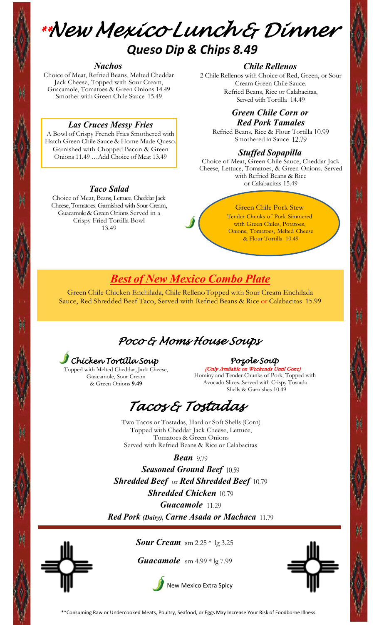

## *Queso Dip & Chips 8.49*

#### *Nachos*

Choice of Meat, Refried Beans, Melted Cheddar Jack Cheese, Topped with Sour Cream, Guacamole, Tomatoes & Green Onions 14.49 Smother with Green Chile Sauce 15.49

#### *Las Cruces Messy Fries*

A Bowl of Crispy French Fries Smothered with Hatch Green Chile Sauce & Home Made Queso. Garnished with Chopped Bacon & Green Onions 11.49 …Add Choice of Meat 13.49

#### *Taco Salad*

Choice of Meat, Beans, Lettuce, Cheddar Jack Cheese, Tomatoes. Garnished with Sour Cream, Guacamole& Green Onions Served in a Crispy Fried Tortilla Bowl 13.49

#### *Chile Rellenos*

2 Chile Rellenos with Choice of Red, Green, or Sour Cream Green Chile Sauce. Refried Beans, Rice or Calabacitas, Served with Tortilla 14.49

#### *Green Chile Corn or Red Pork Tamales*

Refried Beans, Rice & Flour Tortilla 10.99 Smothered in Sauce 12.79

#### *Stuffed Sopapilla*

Choice of Meat, Green Chile Sauce, Cheddar Jack Cheese, Lettuce, Tomatoes, & Green Onions. Served with Refried Beans & Rice or Calabacitas 15.49

#### Green Chile Pork Stew

Tender Chunks of Pork Simmered with Green Chiles, Potatoes, Onions, Tomatoes, Melted Cheese & Flour Tortilla 10.49

## *Best of New Mexico Combo Plate*

Green Chile Chicken Enchilada, Chile RellenoTopped with Sour Cream Enchilada Sauce, Red Shredded Beef Taco, Served with Refried Beans & Rice or Calabacitas 15.99

## *Poco & Moms House Soups*

*Chicken Tortilla Soup* 

Topped with Melted Cheddar, Jack Cheese, Guacamole, Sour Cream & Green Onions **9.49**

#### *Pozole Soup*

(Only Available on Weekends Until Gone) Hominy and Tender Chunks of Pork, Topped with Avocado Slices. Served with Crispy Tostada Shells & Garnishes 10.49

 *Tacos & Tostadas* 

Two Tacos or Tostadas, Hard or Soft Shells (Corn) Topped with Cheddar Jack Cheese, Lettuce, Tomatoes & Green Onions Served with Refried Beans & Rice or Calabacitas

*Bean* 9.79

*Seasoned Ground Beef* 10.59 *Shredded Beef* or *Red Shredded Beef* 10.79 *Shredded Chicken* 10.79 *Guacamole* 11.29 *Red Pork (Dairy), Carne Asada or Machaca* 11.79



*Sour Cream* sm 2.25 \* lg 3.25

*Guacamole* sm 4.99 \* lg 7.99





\*\*Consuming Raw or Undercooked Meats, Poultry, Seafood, or Eggs May Increase Your Risk of Foodborne Illness.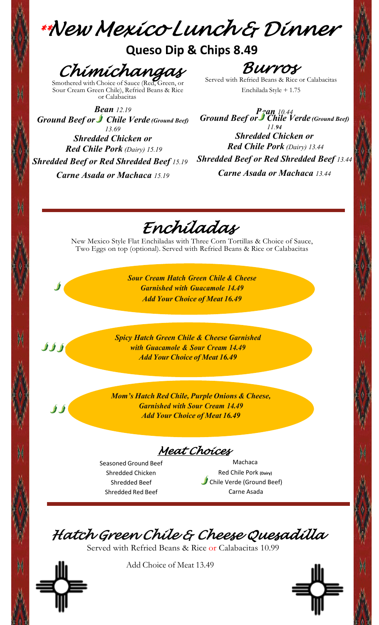*\*\*New Mexico Lunch & Dinner* 

## **Queso Dip & Chips 8.49**

Chimichangas

Sour Cream Green Chile), Refried Beans & Rice or Calabacitas

*BUYYOF*<br>Served with Refried Beans & Rice or Calabacitas

Enchilada Style + 1.75

*Bean 12.19 Ground Beef or Chile Verde (Ground Beef) 13.69 Shredded Chicken or Red Chile Pork (Dairy) 15.19 Shredded Beef or Red Shredded Beef 15.19 Carne Asada or Machaca 15.19*

*Bean 10.44 Ground Beef or Chile Verde (Ground Beef) 11.94*

*Shredded Chicken or Red Chile Pork (Dairy) 13.44 Shredded Beef or Red Shredded Beef 13.44 Carne Asada or Machaca 13.44*

*Enchiladas* 

New Mexico Style Flat Enchiladas with Three Corn Tortillas & Choice of Sauce, Two Eggs on top (optional). Served with Refried Beans & Rice or Calabacitas

> *Sour Cream Hatch Green Chile & Cheese Garnished with Guacamole 14.49 Add Your Choice of Meat 16.49*

*Spicy Hatch Green Chile & Cheese Garnished with Guacamole & Sour Cream 14.49 Add Your Choice of Meat 16.49*

*Mom's Hatch Red Chile, Purple Onions & Cheese, Garnished with Sour Cream 14.49 Add Your Choice of Meat 16.49*

*Meat Choices* 

Seasoned Ground Beef Shredded Chicken Shredded Beef Shredded Red Beef

Machaca Red Chile Pork **(Dairy)** Chile Verde (Ground Beef) Carne Asada

*Hatch Green Chile & Cheese Quesadilla* 

Served with Refried Beans & Rice or Calabacitas 10.99



 $\int \int \int \int$ 

 $\int$ 

Add Choice of Meat 13.49